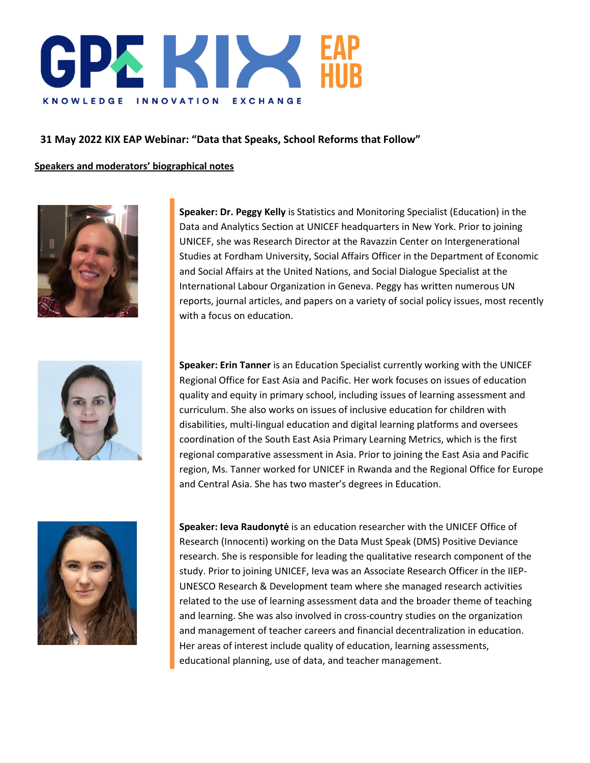

**31 May 2022 KIX EAP Webinar: "Data that Speaks, School Reforms that Follow"**

**Speakers and moderators' biographical notes**



**Speaker: Dr. Peggy Kelly** is Statistics and Monitoring Specialist (Education) in the Data and Analytics Section at UNICEF headquarters in New York. Prior to joining UNICEF, she was Research Director at the Ravazzin Center on Intergenerational Studies at Fordham University, Social Affairs Officer in the Department of Economic and Social Affairs at the United Nations, and Social Dialogue Specialist at the International Labour Organization in Geneva. Peggy has written numerous UN reports, journal articles, and papers on a variety of social policy issues, most recently with a focus on education.



**Speaker: Erin Tanner** is an Education Specialist currently working with the UNICEF Regional Office for East Asia and Pacific. Her work focuses on issues of education quality and equity in primary school, including issues of learning assessment and curriculum. She also works on issues of inclusive education for children with disabilities, multi-lingual education and digital learning platforms and oversees coordination of the South East Asia Primary Learning Metrics, which is the first regional comparative assessment in Asia. Prior to joining the East Asia and Pacific region, Ms. Tanner worked for UNICEF in Rwanda and the Regional Office for Europe and Central Asia. She has two master's degrees in Education.



**Speaker: Ieva Raudonytė** is an education researcher with the UNICEF Office of Research (Innocenti) working on the Data Must Speak (DMS) Positive Deviance research. She is responsible for leading the qualitative research component of the study. Prior to joining UNICEF, Ieva was an Associate Research Officer in the IIEP-UNESCO Research & Development team where she managed research activities related to the use of learning assessment data and the broader theme of teaching and learning. She was also involved in cross-country studies on the organization and management of teacher careers and financial decentralization in education. Her areas of interest include quality of education, learning assessments, educational planning, use of data, and teacher management.